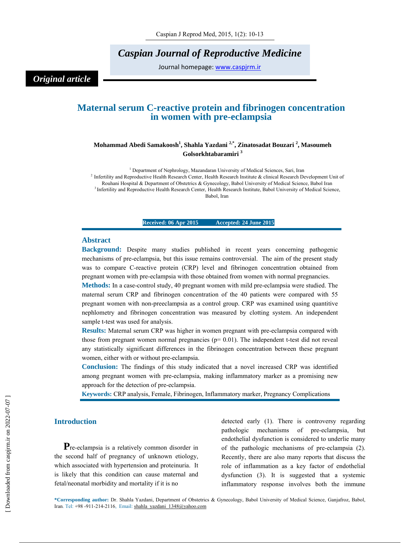*Caspian Journal of Reproductive Medicine* 

Journal homepage: www.caspjrm.ir

*Original article* 

# **Maternal serum C-reactive protein and fibrinogen concentration in women with pre-eclampsia**

# **Mohammad Abedi Samakoosh1 , Shahla Yazdani 2,\*, Zinatosadat Bouzari 2 , Masoumeh Golsorkhtabaramiri 3**

<sup>1</sup> Department of Nephrology, Mazandaran University of Medical Sciences, Sari, Iran <sup>2</sup> Infertility and Reproductive Health Research Center, Health Research Institute & clinical Research Development Unit of Rouhani Hospital & Department of Obstetrics & Gynecology, Babol University of Medical Science, Babol Iran 3 Infertility and Reproductive Health Research Center, Health Research Institute, Babol University of Medical Science, Babol, Iran

**Received: 06 Apr 2015** Accepted: 24 June 2015

#### **Abstract**

**Background:** Despite many studies published in recent years concerning pathogenic mechanisms of pre-eclampsia, but this issue remains controversial. The aim of the present study was to compare C-reactive protein (CRP) level and fibrinogen concentration obtained from pregnant women with pre-eclampsia with those obtained from women with normal pregnancies.

**Methods:** In a case-control study, 40 pregnant women with mild pre-eclampsia were studied. The maternal serum CRP and fibrinogen concentration of the 40 patients were compared with 55 pregnant women with non-preeclampsia as a control group. CRP was examined using quantitive nephlometry and fibrinogen concentration was measured by clotting system. An independent sample t-test was used for analysis.

**Results:** Maternal serum CRP was higher in women pregnant with pre-eclampsia compared with those from pregnant women normal pregnancies ( $p= 0.01$ ). The independent t-test did not reveal any statistically significant differences in the fibrinogen concentration between these pregnant women, either with or without pre-eclampsia.

**Conclusion:** The findings of this study indicated that a novel increased CRP was identified among pregnant women with pre-eclampsia, making inflammatory marker as a promising new approach for the detection of pre-eclampsia.

**Keywords:** CRP analysis, Female, Fibrinogen, Inflammatory marker, Pregnancy Complications

### **Introduction**

**P**re-eclampsia is a relatively common disorder in the second half of pregnancy of unknown etiology, which associated with hypertension and proteinuria. It is likely that this condition can cause maternal and fetal/neonatal morbidity and mortality if it is no

detected early (1). There is controversy regarding pathologic mechanisms of pre-eclampsia, but endothelial dysfunction is considered to underlie many of the pathologic mechanisms of pre-eclampsia (2). Recently, there are also many reports that discuss the role of inflammation as a key factor of endothelial dysfunction (3). It is suggested that a systemic inflammatory response involves both the immune

**\*Corresponding author:** Dr. Shahla Yazdani, Department of Obstetrics & Gynecology, Babol University of Medical Science, Ganjafroz, Babol, Iran. Tel: +98 -911-214-2116, Email: shahla\_yazdani\_1348@yahoo.com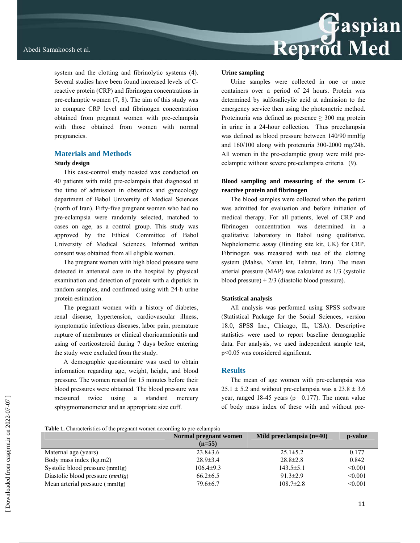system and the clotting and fibrinolytic systems (4). Several studies have been found increased levels of Creactive protein (CRP) and fibrinogen concentrations in pre-eclamptic women (7, 8). The aim of this study was to compare CRP level and fibrinogen concentration obtained from pregnant women with pre-eclampsia with those obtained from women with normal pregnancies.

# **Materials and Methods**

#### **Study design**

This case-control study neasted was conducted on 40 patients with mild pre-eclampsia that diagnosed at the time of admission in obstetrics and gynecology department of Babol University of Medical Sciences (north of Iran). Fifty-five pregnant women who had no pre-eclampsia were randomly selected, matched to cases on age, as a control group. This study was approved by the Ethical Committee of Babol University of Medical Sciences. Informed written consent was obtained from all eligible women.

The pregnant women with high blood pressure were detected in antenatal care in the hospital by physical examination and detection of protein with a dipstick in random samples, and confirmed using with 24-h urine protein estimation.

The pregnant women with a history of diabetes, renal disease, hypertension, cardiovascular illness, symptomatic infectious diseases, labor pain, premature rupture of membranes or clinical chorioamnionitis and using of corticosteroid during 7 days before entering the study were excluded from the study.

A demographic questionnaire was used to obtain information regarding age, weight, height, and blood pressure. The women rested for 15 minutes before their blood pressures were obtained. The blood pressure was measured twice using a standard mercury sphygmomanometer and an appropriate size cuff.

#### **Urine sampling**

Urine samples were collected in one or more containers over a period of 24 hours. Protein was determined by sulfosalicylic acid at admission to the emergency service then using the photometric method. Proteinuria was defined as presence  $\geq 300$  mg protein in urine in a 24-hour collection. Thus preeclampsia was defined as blood pressure between 140/90 mmHg and 160/100 along with protenuria 300-2000 mg/24h. All women in the pre-eclamptic group were mild preeclamptic without severe pre-eclampsia criteria (9).

# **Blood sampling and measuring of the serum Creactive protein and fibrinogen**

The blood samples were collected when the patient was admitted for evaluation and before initiation of medical therapy. For all patients, level of CRP and fibrinogen concentration was determined in a qualitative laboratory in Babol using qualitative. Nephelometric assay (Binding site kit, UK) for CRP. Fibrinogen was measured with use of the clotting system (Mahsa, Yaran kit, Tehran, Iran). The mean arterial pressure (MAP) was calculated as 1/3 (systolic blood pressure) + 2/3 (diastolic blood pressure).

# **Statistical analysis**

All analysis was performed using SPSS software (Statistical Package for the Social Sciences, version 18.0, SPSS Inc., Chicago, IL, USA). Descriptive statistics were used to report baseline demographic data. For analysis, we used independent sample test, p<0.05 was considered significant.

# **Results**

The mean of age women with pre-eclampsia was  $25.1 \pm 5.2$  and without pre-eclampsia was a  $23.8 \pm 3.6$ year, ranged  $18-45$  years ( $p= 0.177$ ). The mean value of body mass index of these with and without pre-

| <b>Table 1.</b> Characteristics of the pregnant women according to pre-eclampsia |  |  |
|----------------------------------------------------------------------------------|--|--|
|                                                                                  |  |  |

|                                   | Normal pregnant women<br>$(n=55)$ | Mild preeclampsia $(n=40)$ | p-value |
|-----------------------------------|-----------------------------------|----------------------------|---------|
| Maternal age (years)              | $23.8 \pm 3.6$                    | $25.1 \pm 5.2$             | 0.177   |
| Body mass index (kg.m2)           | $28.9 \pm 3.4$                    | $28.8 \pm 2.8$             | 0.842   |
| Systolic blood pressure (mmHg)    | $106.4\pm9.3$                     | $143.5 \pm 5.1$            | < 0.001 |
| Diastolic blood pressure $(mmHg)$ | $66.2\pm 6.5$                     | $91.3 \pm 2.9$             | < 0.001 |
| Mean arterial pressure (mmHg)     | $79.6 \pm 6.7$                    | $108.7 \pm 2.8$            | < 0.001 |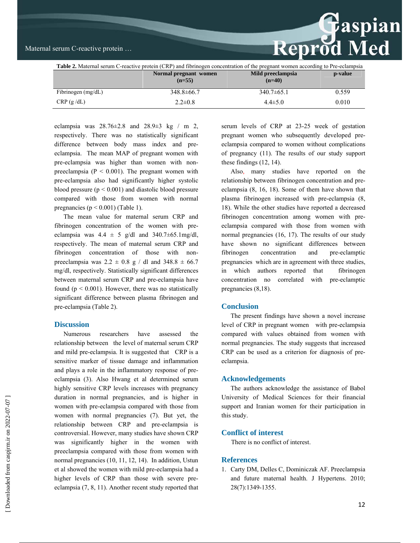

| <b>Table 2.</b> Maternal serum C-reactive protein (CRP) and fibrinogen concentration of the pregnant women according to Pre-eclampsia |                                   |                               |         |  |  |
|---------------------------------------------------------------------------------------------------------------------------------------|-----------------------------------|-------------------------------|---------|--|--|
|                                                                                                                                       | Normal pregnant women<br>$(n=55)$ | Mild preeclampsia<br>$(n=40)$ | p-value |  |  |
| Fibrinogen $(mg/dL)$                                                                                                                  | $348.8 \pm 66.7$                  | $340.7\pm 65.1$               | 0.559   |  |  |
| CRP(g/dL)                                                                                                                             | $2.2 \pm 0.8$                     | $4.4 \pm 5.0$                 | 0.010   |  |  |

eclampsia was  $28.76 \pm 2.8$  and  $28.9 \pm 3$  kg / m 2, respectively. There was no statistically significant difference between body mass index and preeclampsia. The mean MAP of pregnant women with pre-eclampsia was higher than women with nonpreeclampsia ( $P < 0.001$ ). The pregnant women with pre-eclampsia also had significantly higher systolic blood pressure  $(p < 0.001)$  and diastolic blood pressure compared with those from women with normal pregnancies ( $p < 0.001$ ) (Table 1).

The mean value for maternal serum CRP and fibrinogen concentration of the women with preeclampsia was  $4.4 \pm 5$  g/dl and  $340.7\pm 65.1$ mg/dl, respectively. The mean of maternal serum CRP and fibrinogen concentration of those with nonpreeclampsia was  $2.2 \pm 0.8$  g / dl and  $348.8 \pm 66.7$ mg/dl, respectively. Statistically significant differences between maternal serum CRP and pre-eclampsia have found ( $p \le 0.001$ ). However, there was no statistically significant difference between plasma fibrinogen and pre-eclampsia (Table 2).

# **Discussion**

Numerous researchers have assessed the relationship between the level of maternal serum CRP and mild pre-eclampsia. It is suggested that CRP is a sensitive marker of tissue damage and inflammation and plays a role in the inflammatory response of preeclampsia (3). Also Hwang et al determined serum highly sensitive CRP levels increases with pregnancy duration in normal pregnancies, and is higher in women with pre-eclampsia compared with those from women with normal pregnancies (7). But yet, the relationship between CRP and pre-eclampsia is controversial. However, many studies have shown CRP was significantly higher in the women with preeclampsia compared with those from women with normal pregnancies (10, 11, 12, 14). In addition, Ustun et al showed the women with mild pre-eclampsia had a higher levels of CRP than those with severe preeclampsia (7, 8, 11). Another recent study reported that

serum levels of CRP at 23-25 week of gestation pregnant women who subsequently developed preeclampsia compared to women without complications of pregnancy (11). The results of our study support these findings (12, 14).

Also, many studies have reported on the relationship between fibrinogen concentration and preeclampsia (8, 16, 18). Some of them have shown that plasma fibrinogen increased with pre-eclampsia (8, 18). While the other studies have reported a decreased fibrinogen concentration among women with preeclampsia compared with those from women with normal pregnancies (16, 17). The results of our study have shown no significant differences between fibrinogen concentration and pre-eclamptic pregnancies which are in agreement with three studies, in which authors reported that fibrinogen concentration no correlated with pre-eclamptic pregnancies (8,18).

### **Conclusion**

The present findings have shown a novel increase level of CRP in pregnant women with pre-eclampsia compared with values obtained from women with normal pregnancies. The study suggests that increased CRP can be used as a criterion for diagnosis of preeclampsia.

#### **Acknowledgements**

The authors acknowledge the assistance of Babol University of Medical Sciences for their financial support and Iranian women for their participation in this study.

### **Conflict of interest**

There is no conflict of interest.

#### **References**

1. Carty DM, Delles C, Dominiczak AF. Preeclampsia and future maternal health. J Hypertens. 2010; 28(7):1349-1355.